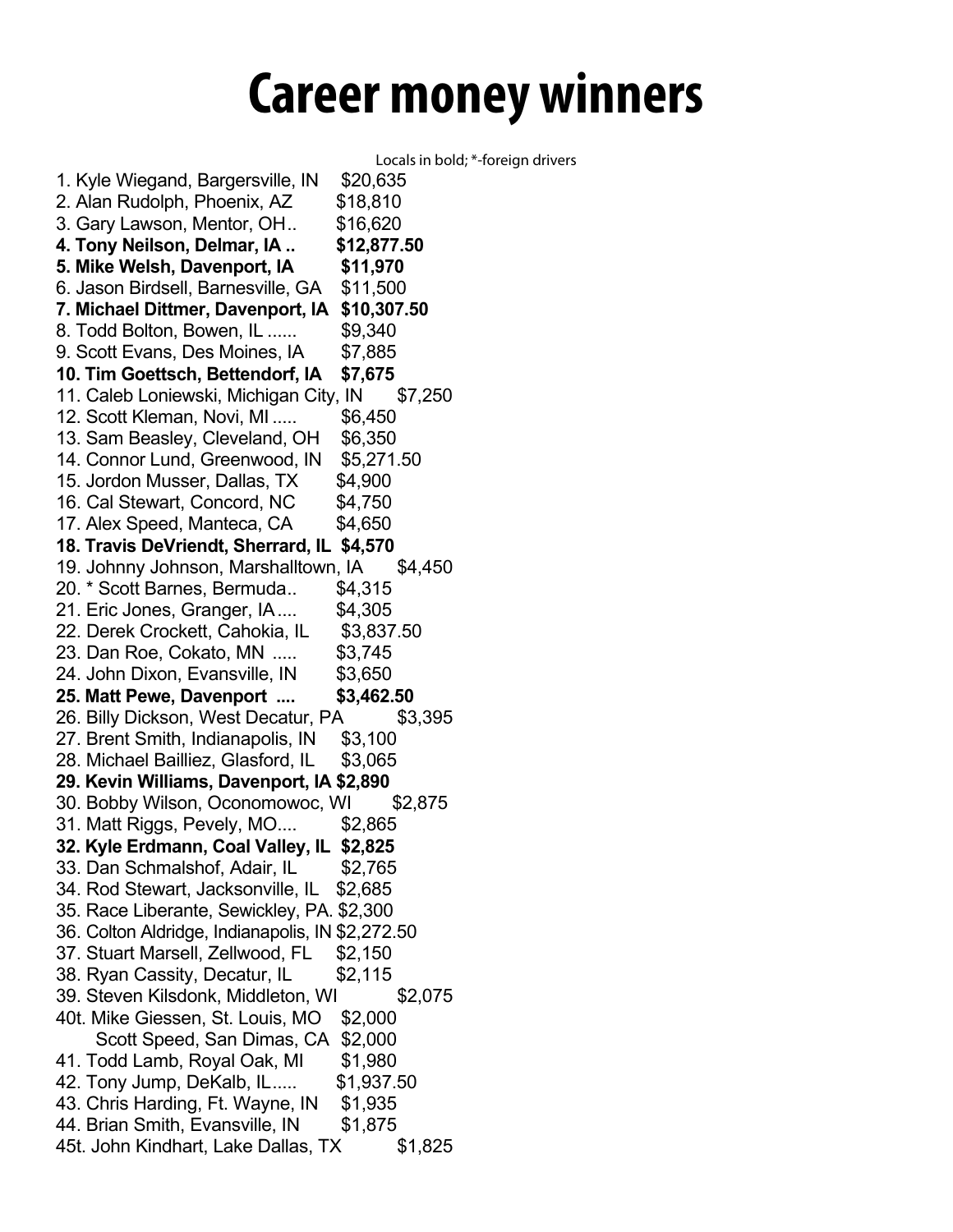## **Career money winners**

Locals in bold; \*-foreign drivers 1. Kyle Wiegand, Bargersville, IN \$20,635 2. Alan Rudolph, Phoenix, AZ \$18,810 3. Gary Lawson, Mentor, OH.. \$16,620 **4. Tony Neilson, Delmar, IA .. \$12,877.50 5. Mike Welsh, Davenport, IA \$11,970** 6. Jason Birdsell, Barnesville, GA \$11,500 **7. Michael Dittmer, Davenport, IA \$10,307.50** 8. Todd Bolton, Bowen, IL ...... \$9,340 9. Scott Evans, Des Moines, IA \$7,885 **10. Tim Goettsch, Bettendorf, IA \$7,675** 11. Caleb Loniewski, Michigan City, IN \$7,250 12. Scott Kleman, Novi, MI ..... \$6,450 13. Sam Beasley, Cleveland, OH \$6,350 14. Connor Lund, Greenwood, IN \$5,271.50 15. Jordon Musser, Dallas, TX \$4,900 16. Cal Stewart, Concord, NC \$4,750 17. Alex Speed, Manteca, CA \$4,650 **18. Travis DeVriendt, Sherrard, IL \$4,570** 19. Johnny Johnson, Marshalltown, IA \$4,450 20. \* Scott Barnes, Bermuda.. \$4,315 21. Eric Jones, Granger, IA.... \$4,305 22. Derek Crockett, Cahokia, IL \$3,837.50 23. Dan Roe, Cokato, MN ..... \$3,745 24. John Dixon, Evansville, IN \$3,650 **25. Matt Pewe, Davenport .... \$3,462.50** 26. Billy Dickson, West Decatur, PA \$3,395 27. Brent Smith, Indianapolis, IN \$3,100 28. Michael Bailliez, Glasford, IL \$3,065 **29. Kevin Williams, Davenport, IA \$2,890** 30. Bobby Wilson, Oconomowoc, WI \$2,875 31. Matt Riggs, Pevely, MO.... \$2,865 **32. Kyle Erdmann, Coal Valley, IL \$2,825** 33. Dan Schmalshof, Adair, IL \$2,765 34. Rod Stewart, Jacksonville, IL \$2,685 35. Race Liberante, Sewickley, PA. \$2,300 36. Colton Aldridge, Indianapolis, IN \$2,272.50 37. Stuart Marsell, Zellwood, FL \$2,150 38. Ryan Cassity, Decatur, IL \$2,115 39. Steven Kilsdonk, Middleton, WI \$2,075 40t. Mike Giessen, St. Louis, MO \$2,000 Scott Speed, San Dimas, CA \$2,000 41. Todd Lamb, Royal Oak, MI \$1,980 42. Tony Jump, DeKalb, IL..... \$1,937.50 43. Chris Harding, Ft. Wayne, IN \$1,935 44. Brian Smith, Evansville, IN \$1,875 45t. John Kindhart, Lake Dallas, TX \$1,825